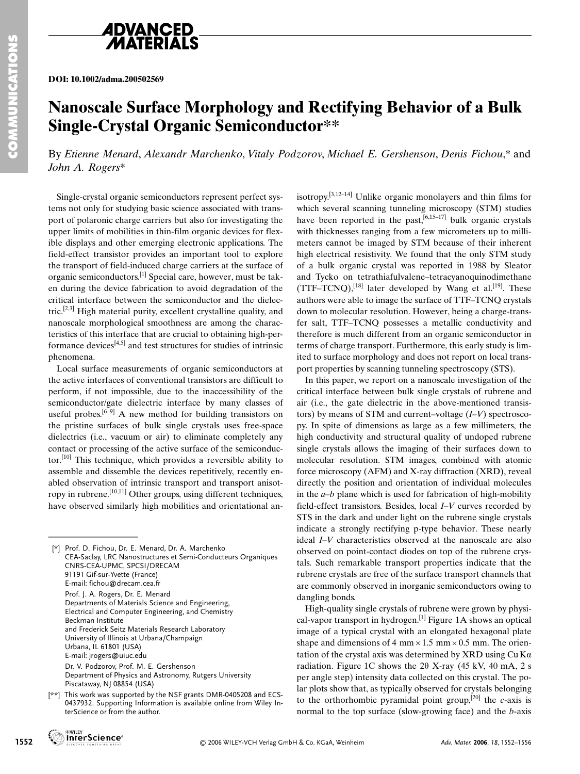

## **Advanced**

**DOI: 10.1002/adma.200502569**

## **Nanoscale Surface Morphology and Rectifying Behavior of a Bulk Single-Crystal Organic Semiconductor\*\***

By *Etienne Menard*, *Alexandr Marchenko*, *Vitaly Podzorov*, *Michael E. Gershenson*, *Denis Fichou*,\* and *John A. Rogers*\*

Single-crystal organic semiconductors represent perfect systems not only for studying basic science associated with transport of polaronic charge carriers but also for investigating the upper limits of mobilities in thin-film organic devices for flexible displays and other emerging electronic applications. The field-effect transistor provides an important tool to explore the transport of field-induced charge carriers at the surface of organic semiconductors.[1] Special care, however, must be taken during the device fabrication to avoid degradation of the critical interface between the semiconductor and the dielectric.[2,3] High material purity, excellent crystalline quality, and nanoscale morphological smoothness are among the characteristics of this interface that are crucial to obtaining high-performance devices<sup>[4,5]</sup> and test structures for studies of intrinsic phenomena.

Local surface measurements of organic semiconductors at the active interfaces of conventional transistors are difficult to perform, if not impossible, due to the inaccessibility of the semiconductor/gate dielectric interface by many classes of useful probes.<sup>[6–9]</sup> A new method for building transistors on the pristine surfaces of bulk single crystals uses free-space dielectrics (i.e., vacuum or air) to eliminate completely any contact or processing of the active surface of the semiconductor.[10] This technique, which provides a reversible ability to assemble and dissemble the devices repetitively, recently enabled observation of intrinsic transport and transport anisotropy in rubrene.<sup>[10,11]</sup> Other groups, using different techniques, have observed similarly high mobilities and orientational anuseful probes.<sup>[6-9]</sup> A ne<br>the pristine surfaces of<br>dielectrics (i.e., vacuum<br>contact or processing of<br>tor.<sup>[10]</sup> This technique,<br>assemble and dissemble<br>abled observation of in<br>ropy in rubrene.<sup>[10,11]</sup> Ot<br>have observed s

[\*\*] This work was supported by the NSF grants DMR-0405208 and ECS-0437932. Supporting Information is available online from Wiley InterScience or from the author.

isotropy.[3,12–14] Unlike organic monolayers and thin films for which several scanning tunneling microscopy (STM) studies have been reported in the past,  $[6,15-17]$  bulk organic crystals with thicknesses ranging from a few micrometers up to millimeters cannot be imaged by STM because of their inherent high electrical resistivity. We found that the only STM study of a bulk organic crystal was reported in 1988 by Sleator and Tycko on tetrathiafulvalene–tetracyanoquinodimethane  $(TTF-TCNO)$ ,<sup>[18]</sup> later developed by Wang et al.<sup>[19]</sup>. These authors were able to image the surface of TTF–TCNQ crystals down to molecular resolution. However, being a charge-transfer salt, TTF–TCNQ possesses a metallic conductivity and therefore is much different from an organic semiconductor in terms of charge transport. Furthermore, this early study is limited to surface morphology and does not report on local transport properties by scanning tunneling spectroscopy (STS).

In this paper, we report on a nanoscale investigation of the critical interface between bulk single crystals of rubrene and air (i.e., the gate dielectric in the above-mentioned transistors) by means of STM and current–voltage (*I–V*) spectroscopy. In spite of dimensions as large as a few millimeters, the high conductivity and structural quality of undoped rubrene single crystals allows the imaging of their surfaces down to molecular resolution. STM images, combined with atomic force microscopy (AFM) and X-ray diffraction (XRD), reveal directly the position and orientation of individual molecules in the *a–b* plane which is used for fabrication of high-mobility field-effect transistors. Besides, local *I–V* curves recorded by STS in the dark and under light on the rubrene single crystals indicate a strongly rectifying p-type behavior. These nearly ideal *I–V* characteristics observed at the nanoscale are also observed on point-contact diodes on top of the rubrene crystals. Such remarkable transport properties indicate that the rubrene crystals are free of the surface transport channels that are commonly observed in inorganic semiconductors owing to dangling bonds.

High-quality single crystals of rubrene were grown by physical-vapor transport in hydrogen.[1] Figure 1A shows an optical image of a typical crystal with an elongated hexagonal plate shape and dimensions of 4 mm  $\times$  1.5 mm  $\times$  0.5 mm. The orientation of the crystal axis was determined by XRD using Cu Ka radiation. Figure 1C shows the  $2\theta$  X-ray (45 kV, 40 mA, 2 s) per angle step) intensity data collected on this crystal. The polar plots show that, as typically observed for crystals belonging to the orthorhombic pyramidal point group,<sup>[20]</sup> the *c*-axis is normal to the top surface (slow-growing face) and the *b*-axis

<sup>[\*]</sup> Prof. D. Fichou, Dr. E. Menard, Dr. A. Marchenko CEA-Saclay, LRC Nanostructures et Semi-Conducteurs Organiques CNRS-CEA-UPMC, SPCSI/DRECAM 91191 Gif-sur-Yvette (France) E-mail: fichou@drecam.cea.fr Prof. J. A. Rogers, Dr. E. Menard Departments of Materials Science and Engineering, Electrical and Computer Engineering, and Chemistry Beckman Institute and Frederick Seitz Materials Research Laboratory University of Illinois at Urbana/Champaign Urbana, IL 61801 (USA) E-mail: jrogers@uiuc.edu Dr. V. Podzorov, Prof. M. E. Gershenson Department of Physics and Astronomy, Rutgers University Piscataway, NJ 08854 (USA)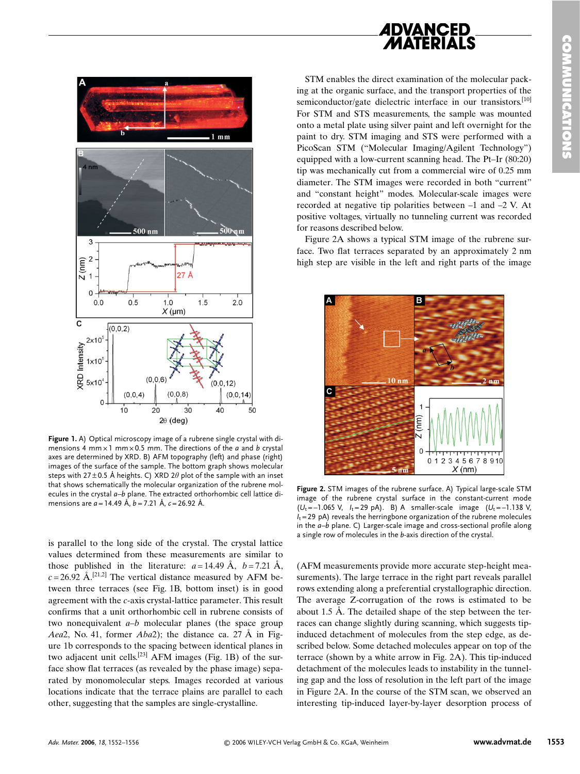



**Figure 1.** A) Optical microscopy image of a rubrene single crystal with dimensions 4 mm × 1 mm × 0.5 mm. The directions of the *a* and *b* crystal axes are determined by XRD. B) AFM topography (left) and phase (right) images of the surface of the sample. The bottom graph shows molecular steps with 27 $\pm$ 0.5 Å heights. C) XRD 2 $\theta$  plot of the sample with an inset that shows schematically the molecular organization of the rubrene molecules in the crystal *a–b* plane. The extracted orthorhombic cell lattice dimensions are *a* = 14.49 Å, *b* = 7.21 Å, *c* = 26.92 Å.

is parallel to the long side of the crystal. The crystal lattice values determined from these measurements are similar to those published in the literature:  $a = 14.49 \text{ Å}$ ,  $b = 7.21 \text{ Å}$ ,  $c = 26.92$  Å.<sup>[21,2]</sup> The vertical distance measured by AFM between three terraces (see Fig. 1B, bottom inset) is in good agreement with the *c*-axis crystal-lattice parameter. This result confirms that a unit orthorhombic cell in rubrene consists of two nonequivalent *a–b* molecular planes (the space group *Aea*2, No. 41, former *Aba*2); the distance ca. 27 Å in Figure 1b corresponds to the spacing between identical planes in two adjacent unit cells.<sup>[23]</sup> AFM images (Fig. 1B) of the surface show flat terraces (as revealed by the phase image) separated by monomolecular steps. Images recorded at various locations indicate that the terrace plains are parallel to each other, suggesting that the samples are single-crystalline.

STM enables the direct examination of the molecular packing at the organic surface, and the transport properties of the semiconductor/gate dielectric interface in our transistors.<sup>[10]</sup> For STM and STS measurements, the sample was mounted onto a metal plate using silver paint and left overnight for the paint to dry. STM imaging and STS were performed with a PicoScan STM ("Molecular Imaging/Agilent Technology") equipped with a low-current scanning head. The Pt–Ir (80:20) tip was mechanically cut from a commercial wire of 0.25 mm diameter. The STM images were recorded in both "current" and "constant height" modes. Molecular-scale images were recorded at negative tip polarities between –1 and –2 V. At positive voltages, virtually no tunneling current was recorded for reasons described below.

Figure 2A shows a typical STM image of the rubrene surface. Two flat terraces separated by an approximately 2 nm high step are visible in the left and right parts of the image



**Figure 2.** STM images of the rubrene surface. A) Typical large-scale STM image of the rubrene crystal surface in the constant-current mode  $(U_t = -1.065 \text{ V}, I_t = 29 \text{ pA}).$  B) A smaller-scale image  $(U_t = -1.138 \text{ V}, I_t = 29 \text{ pA}).$  $I_t$  = 29 pA) reveals the herringbone organization of the rubrene molecules in the *a–b* plane. C) Larger-scale image and cross-sectional profile along a single row of molecules in the *b*-axis direction of the crystal.

(AFM measurements provide more accurate step-height measurements). The large terrace in the right part reveals parallel rows extending along a preferential crystallographic direction. The average Z-corrugation of the rows is estimated to be about 1.5 Å. The detailed shape of the step between the terraces can change slightly during scanning, which suggests tipinduced detachment of molecules from the step edge, as described below. Some detached molecules appear on top of the terrace (shown by a white arrow in Fig. 2A). This tip-induced detachment of the molecules leads to instability in the tunneling gap and the loss of resolution in the left part of the image in Figure 2A. In the course of the STM scan, we observed an interesting tip-induced layer-by-layer desorption process of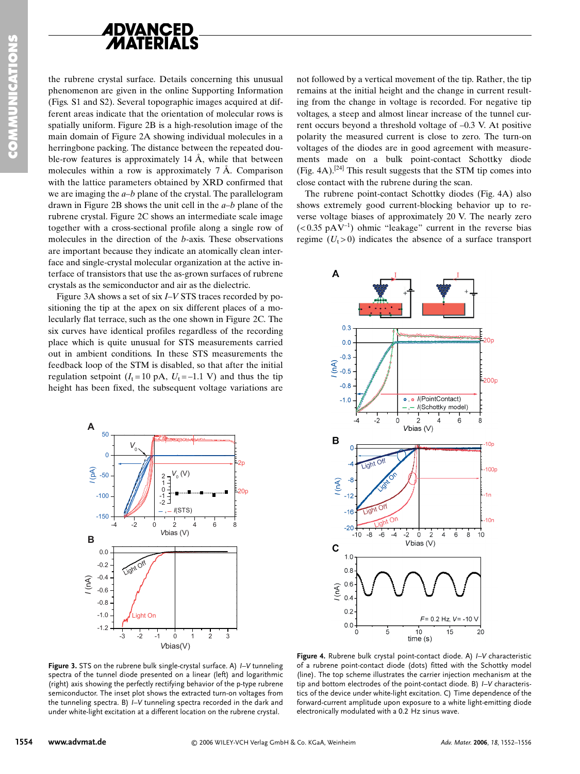

the rubrene crystal surface. Details concerning this unusual phenomenon are given in the online Supporting Information (Figs. S1 and S2). Several topographic images acquired at different areas indicate that the orientation of molecular rows is spatially uniform. Figure 2B is a high-resolution image of the main domain of Figure 2A showing individual molecules in a herringbone packing. The distance between the repeated double-row features is approximately 14 Å, while that between molecules within a row is approximately  $7 \text{ Å}$ . Comparison with the lattice parameters obtained by XRD confirmed that we are imaging the *a–b* plane of the crystal. The parallelogram drawn in Figure 2B shows the unit cell in the *a–b* plane of the rubrene crystal. Figure 2C shows an intermediate scale image together with a cross-sectional profile along a single row of molecules in the direction of the *b*-axis. These observations are important because they indicate an atomically clean interface and single-crystal molecular organization at the active interface of transistors that use the as-grown surfaces of rubrene crystals as the semiconductor and air as the dielectric.

Figure 3A shows a set of six *I–V* STS traces recorded by positioning the tip at the apex on six different places of a molecularly flat terrace, such as the one shown in Figure 2C. The six curves have identical profiles regardless of the recording place which is quite unusual for STS measurements carried out in ambient conditions. In these STS measurements the feedback loop of the STM is disabled, so that after the initial regulation setpoint  $(I_t = 10 \text{ pA}, U_t = -1.1 \text{ V})$  and thus the tip height has been fixed, the subsequent voltage variations are



not followed by a vertical movement of the tip. Rather, the tip remains at the initial height and the change in current resulting from the change in voltage is recorded. For negative tip voltages, a steep and almost linear increase of the tunnel current occurs beyond a threshold voltage of –0.3 V. At positive polarity the measured current is close to zero. The turn-on voltages of the diodes are in good agreement with measurements made on a bulk point-contact Schottky diode (Fig. 4A).<sup>[24]</sup> This result suggests that the STM tip comes into close contact with the rubrene during the scan.

The rubrene point-contact Schottky diodes (Fig. 4A) also shows extremely good current-blocking behavior up to reverse voltage biases of approximately 20 V. The nearly zero  $( $0.35 \text{ pAV}^{-1}$ ) ohmic "leakage" current in the reverse bias$ regime  $(U_t > 0)$  indicates the absence of a surface transport



**Figure 3.** STS on the rubrene bulk single-crystal surface. A) *I–V* tunneling spectra of the tunnel diode presented on a linear (left) and logarithmic (right) axis showing the perfectly rectifying behavior of the p-type rubrene semiconductor. The inset plot shows the extracted turn-on voltages from the tunneling spectra. B) *I–V* tunneling spectra recorded in the dark and under white-light excitation at a different location on the rubrene crystal.

**Figure 4.** Rubrene bulk crystal point-contact diode. A) *I–V* characteristic of a rubrene point-contact diode (dots) fitted with the Schottky model (line). The top scheme illustrates the carrier injection mechanism at the tip and bottom electrodes of the point-contact diode. B) *I–V* characteristics of the device under white-light excitation. C) Time dependence of the forward-current amplitude upon exposure to a white light-emitting diode electronically modulated with a 0.2 Hz sinus wave.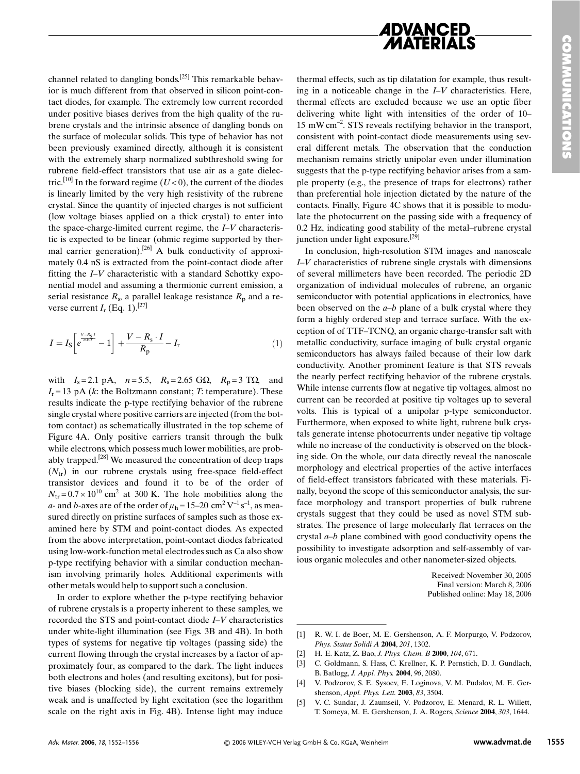

channel related to dangling bonds.<sup>[25]</sup> This remarkable behavior is much different from that observed in silicon point-contact diodes, for example. The extremely low current recorded under positive biases derives from the high quality of the rubrene crystals and the intrinsic absence of dangling bonds on the surface of molecular solids. This type of behavior has not been previously examined directly, although it is consistent with the extremely sharp normalized subthreshold swing for rubrene field-effect transistors that use air as a gate dielectric.<sup>[10]</sup> In the forward regime ( $U$  < 0), the current of the diodes is linearly limited by the very high resistivity of the rubrene crystal. Since the quantity of injected charges is not sufficient (low voltage biases applied on a thick crystal) to enter into the space-charge-limited current regime, the *I–V* characteristic is expected to be linear (ohmic regime supported by thermal carrier generation).<sup>[26]</sup> A bulk conductivity of approximately 0.4 nS is extracted from the point-contact diode after fitting the *I–V* characteristic with a standard Schottky exponential model and assuming a thermionic current emission, a serial resistance  $R_s$ , a parallel leakage resistance  $R_p$  and a reverse current  $I_r$  (Eq. 1).<sup>[27]</sup>

$$
I = I_{\rm S} \left[ e^{\frac{V - R_{\rm S} \cdot I}{nkT}} - 1 \right] + \frac{V - R_{\rm S} \cdot I}{R_{\rm p}} - I_{\rm r}
$$
 (1)

with  $I_s = 2.1 \text{ pA}$ ,  $n = 5.5$ ,  $R_s = 2.65 \text{ G}\Omega$ ,  $R_p = 3 \text{ T}\Omega$ , and  $I_r = 13$  pA (*k*: the Boltzmann constant; *T*: temperature). These results indicate the p-type rectifying behavior of the rubrene single crystal where positive carriers are injected (from the bottom contact) as schematically illustrated in the top scheme of Figure 4A. Only positive carriers transit through the bulk while electrons, which possess much lower mobilities, are probably trapped.<sup>[28]</sup> We measured the concentration of deep traps  $(N<sub>tr</sub>)$  in our rubrene crystals using free-space field-effect transistor devices and found it to be of the order of  $N_{\text{tr}} = 0.7 \times 10^{10} \text{ cm}^2$  at 300 K. The hole mobilities along the *a*- and *b*-axes are of the order of  $\mu_h = 15-20 \text{ cm}^2 \text{ V}^{-1} \text{ s}^{-1}$ , as measured directly on pristine surfaces of samples such as those examined here by STM and point-contact diodes. As expected from the above interpretation, point-contact diodes fabricated using low-work-function metal electrodes such as Ca also show p-type rectifying behavior with a similar conduction mechanism involving primarily holes. Additional experiments with other metals would help to support such a conclusion.

In order to explore whether the p-type rectifying behavior of rubrene crystals is a property inherent to these samples, we recorded the STS and point-contact diode *I–V* characteristics under white-light illumination (see Figs. 3B and 4B). In both types of systems for negative tip voltages (passing side) the current flowing through the crystal increases by a factor of approximately four, as compared to the dark. The light induces both electrons and holes (and resulting excitons), but for positive biases (blocking side), the current remains extremely weak and is unaffected by light excitation (see the logarithm scale on the right axis in Fig. 4B). Intense light may induce

thermal effects, such as tip dilatation for example, thus resulting in a noticeable change in the *I–V* characteristics. Here, thermal effects are excluded because we use an optic fiber delivering white light with intensities of the order of 10– 15 mW cm–2. STS reveals rectifying behavior in the transport, consistent with point-contact diode measurements using several different metals. The observation that the conduction mechanism remains strictly unipolar even under illumination suggests that the p-type rectifying behavior arises from a sample property (e.g., the presence of traps for electrons) rather than preferential hole injection dictated by the nature of the contacts. Finally, Figure 4C shows that it is possible to modulate the photocurrent on the passing side with a frequency of 0.2 Hz, indicating good stability of the metal–rubrene crystal junction under light exposure.[29]

In conclusion, high-resolution STM images and nanoscale *I–V* characteristics of rubrene single crystals with dimensions of several millimeters have been recorded. The periodic 2D organization of individual molecules of rubrene, an organic semiconductor with potential applications in electronics, have been observed on the *a–b* plane of a bulk crystal where they form a highly ordered step and terrace surface. With the exception of of TTF–TCNQ, an organic charge-transfer salt with metallic conductivity, surface imaging of bulk crystal organic semiconductors has always failed because of their low dark conductivity. Another prominent feature is that STS reveals the nearly perfect rectifying behavior of the rubrene crystals. While intense currents flow at negative tip voltages, almost no current can be recorded at positive tip voltages up to several volts. This is typical of a unipolar p-type semiconductor. Furthermore, when exposed to white light, rubrene bulk crystals generate intense photocurrents under negative tip voltage while no increase of the conductivity is observed on the blocking side. On the whole, our data directly reveal the nanoscale morphology and electrical properties of the active interfaces of field-effect transistors fabricated with these materials. Finally, beyond the scope of this semiconductor analysis, the surface morphology and transport properties of bulk rubrene crystals suggest that they could be used as novel STM substrates. The presence of large molecularly flat terraces on the crystal *a–b* plane combined with good conductivity opens the possibility to investigate adsorption and self-assembly of various organic molecules and other nanometer-sized objects. many, beyond the scope<br>face morphology and<br>crystals suggest that th<br>strates. The presence of<br>crystal *a*-b plane combi<br>possibility to investigate<br>ious organic molecules a<br>ious organic molecules a<br>[2] H. E. Katz, Z. Bao, J.

Received: November 30, 2005 Final version: March 8, 2006 Published online: May 18, 2006

- [2] H. E. Katz, Z. Bao, *J. Phys. Chem. B* **2000**, *104*, 671.
- [3] C. Goldmann, S. Hass, C. Krellner, K. P. Pernstich, D. J. Gundlach, B. Batlogg, *J. Appl. Phys.* **2004**, *96*, 2080.
- [4] V. Podzorov, S. E. Sysoev, E. Loginova, V. M. Pudalov, M. E. Gershenson, *Appl. Phys. Lett.* **2003**, *83*, 3504.
- [5] V. C. Sundar, J. Zaumseil, V. Podzorov, E. Menard, R. L. Willett, T. Someya, M. E. Gershenson, J. A. Rogers, *Science* **2004**, *303*, 1644.

<sup>[1]</sup> R. W. I. de Boer, M. E. Gershenson, A. F. Morpurgo, V. Podzorov, *Phys. Status Solidi A* **2004**, *201*, 1302.